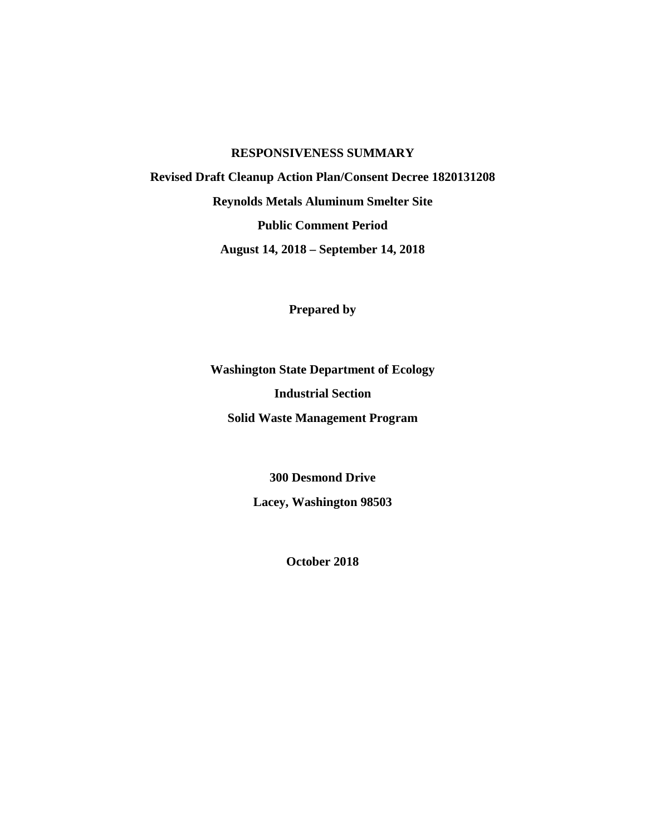# **RESPONSIVENESS SUMMARY Revised Draft Cleanup Action Plan/Consent Decree 1820131208 Reynolds Metals Aluminum Smelter Site Public Comment Period August 14, 2018 – September 14, 2018**

**Prepared by**

**Washington State Department of Ecology Industrial Section Solid Waste Management Program**

> **300 Desmond Drive Lacey, Washington 98503**

> > **October 2018**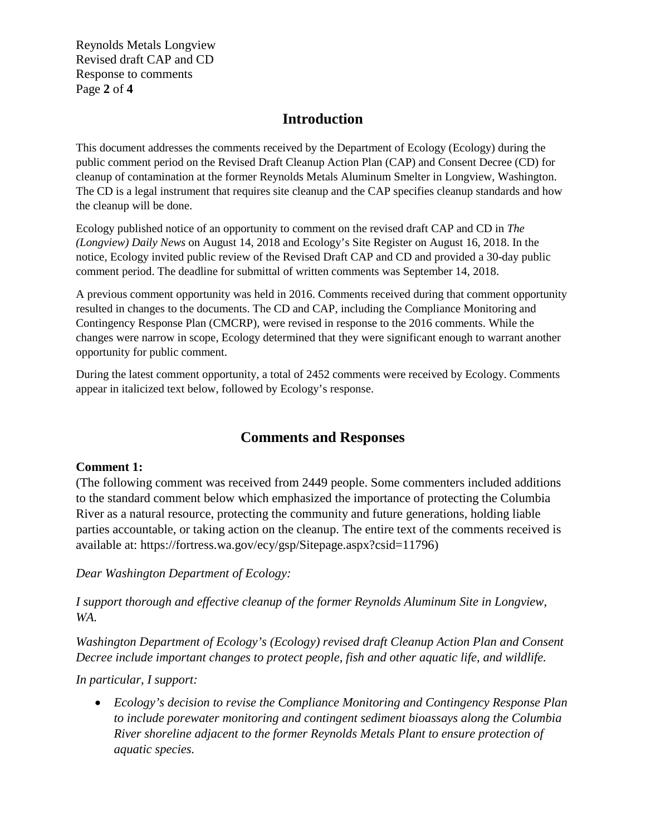Reynolds Metals Longview Revised draft CAP and CD Response to comments Page **2** of **4**

# **Introduction**

This document addresses the comments received by the Department of Ecology (Ecology) during the public comment period on the Revised Draft Cleanup Action Plan (CAP) and Consent Decree (CD) for cleanup of contamination at the former Reynolds Metals Aluminum Smelter in Longview, Washington. The CD is a legal instrument that requires site cleanup and the CAP specifies cleanup standards and how the cleanup will be done.

Ecology published notice of an opportunity to comment on the revised draft CAP and CD in *The (Longview) Daily News* on August 14, 2018 and Ecology's Site Register on August 16, 2018. In the notice, Ecology invited public review of the Revised Draft CAP and CD and provided a 30-day public comment period. The deadline for submittal of written comments was September 14, 2018.

A previous comment opportunity was held in 2016. Comments received during that comment opportunity resulted in changes to the documents. The CD and CAP, including the Compliance Monitoring and Contingency Response Plan (CMCRP), were revised in response to the 2016 comments. While the changes were narrow in scope, Ecology determined that they were significant enough to warrant another opportunity for public comment.

During the latest comment opportunity, a total of 2452 comments were received by Ecology. Comments appear in italicized text below, followed by Ecology's response.

# **Comments and Responses**

## **Comment 1:**

(The following comment was received from 2449 people. Some commenters included additions to the standard comment below which emphasized the importance of protecting the Columbia River as a natural resource, protecting the community and future generations, holding liable parties accountable, or taking action on the cleanup. The entire text of the comments received is available at: https://fortress.wa.gov/ecy/gsp/Sitepage.aspx?csid=11796)

*Dear Washington Department of Ecology:*

*I support thorough and effective cleanup of the former Reynolds Aluminum Site in Longview, WA.*

*Washington Department of Ecology's (Ecology) revised draft Cleanup Action Plan and Consent Decree include important changes to protect people, fish and other aquatic life, and wildlife.*

*In particular, I support:*

• *Ecology's decision to revise the Compliance Monitoring and Contingency Response Plan to include porewater monitoring and contingent sediment bioassays along the Columbia River shoreline adjacent to the former Reynolds Metals Plant to ensure protection of aquatic species.*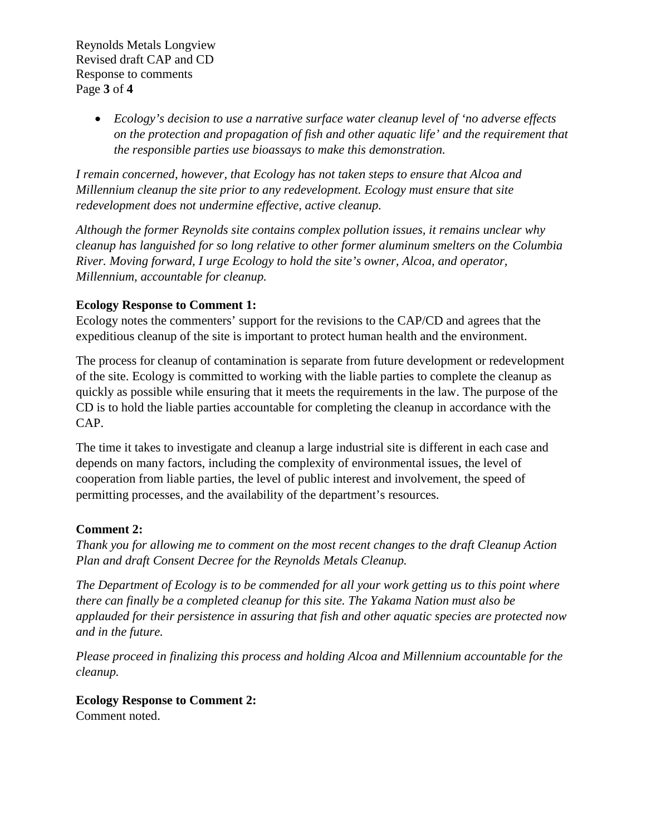Reynolds Metals Longview Revised draft CAP and CD Response to comments Page **3** of **4**

> • *Ecology's decision to use a narrative surface water cleanup level of 'no adverse effects on the protection and propagation of fish and other aquatic life' and the requirement that the responsible parties use bioassays to make this demonstration.*

*I remain concerned, however, that Ecology has not taken steps to ensure that Alcoa and Millennium cleanup the site prior to any redevelopment. Ecology must ensure that site redevelopment does not undermine effective, active cleanup.*

*Although the former Reynolds site contains complex pollution issues, it remains unclear why cleanup has languished for so long relative to other former aluminum smelters on the Columbia River. Moving forward, I urge Ecology to hold the site's owner, Alcoa, and operator, Millennium, accountable for cleanup.*

## **Ecology Response to Comment 1:**

Ecology notes the commenters' support for the revisions to the CAP/CD and agrees that the expeditious cleanup of the site is important to protect human health and the environment.

The process for cleanup of contamination is separate from future development or redevelopment of the site. Ecology is committed to working with the liable parties to complete the cleanup as quickly as possible while ensuring that it meets the requirements in the law. The purpose of the CD is to hold the liable parties accountable for completing the cleanup in accordance with the CAP.

The time it takes to investigate and cleanup a large industrial site is different in each case and depends on many factors, including the complexity of environmental issues, the level of cooperation from liable parties, the level of public interest and involvement, the speed of permitting processes, and the availability of the department's resources.

## **Comment 2:**

*Thank you for allowing me to comment on the most recent changes to the draft Cleanup Action Plan and draft Consent Decree for the Reynolds Metals Cleanup.*

*The Department of Ecology is to be commended for all your work getting us to this point where there can finally be a completed cleanup for this site. The Yakama Nation must also be applauded for their persistence in assuring that fish and other aquatic species are protected now and in the future.*

*Please proceed in finalizing this process and holding Alcoa and Millennium accountable for the cleanup.*

## **Ecology Response to Comment 2:**

Comment noted.